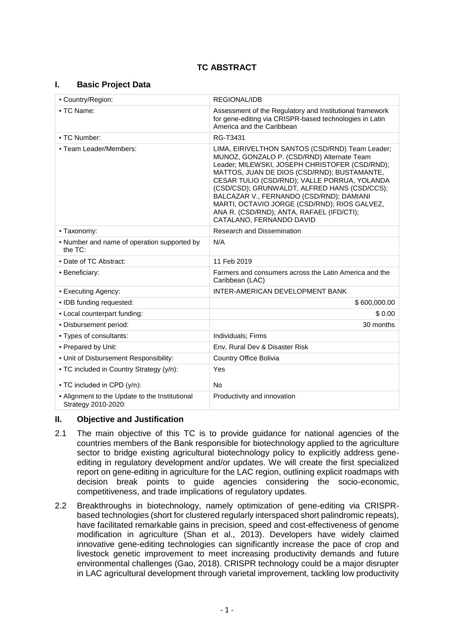# **TC ABSTRACT**

#### **I. Basic Project Data**

| - Country/Region:                                                       | <b>REGIONAL/IDB</b>                                                                                                                                                                                                                                                                                                                                                                                                                                                 |  |
|-------------------------------------------------------------------------|---------------------------------------------------------------------------------------------------------------------------------------------------------------------------------------------------------------------------------------------------------------------------------------------------------------------------------------------------------------------------------------------------------------------------------------------------------------------|--|
|                                                                         |                                                                                                                                                                                                                                                                                                                                                                                                                                                                     |  |
| • TC Name:                                                              | Assessment of the Regulatory and Institutional framework<br>for gene-editing via CRISPR-based technologies in Latin<br>America and the Caribbean                                                                                                                                                                                                                                                                                                                    |  |
| - TC Number:                                                            | RG-T3431                                                                                                                                                                                                                                                                                                                                                                                                                                                            |  |
| - Team Leader/Members:                                                  | LIMA, EIRIVELTHON SANTOS (CSD/RND) Team Leader;<br>MUNOZ, GONZALO P. (CSD/RND) Alternate Team<br>Leader; MILEWSKI, JOSEPH CHRISTOFER (CSD/RND);<br>MATTOS, JUAN DE DIOS (CSD/RND); BUSTAMANTE,<br>CESAR TULIO (CSD/RND); VALLE PORRUA, YOLANDA<br>(CSD/CSD); GRUNWALDT, ALFRED HANS (CSD/CCS);<br>BALCAZAR V., FERNANDO (CSD/RND); DAMIANI<br>MARTI, OCTAVIO JORGE (CSD/RND); RIOS GALVEZ,<br>ANA R. (CSD/RND); ANTA, RAFAEL (IFD/CTI);<br>CATALANO. FERNANDO DAVID |  |
| - Taxonomy:                                                             | <b>Research and Dissemination</b>                                                                                                                                                                                                                                                                                                                                                                                                                                   |  |
| - Number and name of operation supported by<br>the $TC$ :               | N/A                                                                                                                                                                                                                                                                                                                                                                                                                                                                 |  |
| • Date of TC Abstract:                                                  | 11 Feb 2019                                                                                                                                                                                                                                                                                                                                                                                                                                                         |  |
| • Beneficiary:                                                          | Farmers and consumers across the Latin America and the<br>Caribbean (LAC)                                                                                                                                                                                                                                                                                                                                                                                           |  |
| - Executing Agency:                                                     | INTER-AMERICAN DEVELOPMENT BANK                                                                                                                                                                                                                                                                                                                                                                                                                                     |  |
| . IDB funding requested:                                                | \$600,000.00                                                                                                                                                                                                                                                                                                                                                                                                                                                        |  |
| - Local counterpart funding:                                            | \$0.00                                                                                                                                                                                                                                                                                                                                                                                                                                                              |  |
| . Disbursement period:                                                  | 30 months                                                                                                                                                                                                                                                                                                                                                                                                                                                           |  |
| - Types of consultants:                                                 | Individuals; Firms                                                                                                                                                                                                                                                                                                                                                                                                                                                  |  |
| - Prepared by Unit:                                                     | Env, Rural Dev & Disaster Risk                                                                                                                                                                                                                                                                                                                                                                                                                                      |  |
| - Unit of Disbursement Responsibility:                                  | Country Office Bolivia                                                                                                                                                                                                                                                                                                                                                                                                                                              |  |
| - TC included in Country Strategy (y/n):<br>- TC included in CPD (y/n): | Yes<br><b>No</b>                                                                                                                                                                                                                                                                                                                                                                                                                                                    |  |
| - Alignment to the Update to the Institutional                          | Productivity and innovation                                                                                                                                                                                                                                                                                                                                                                                                                                         |  |
| Strategy 2010-2020:                                                     |                                                                                                                                                                                                                                                                                                                                                                                                                                                                     |  |

#### **II. Objective and Justification**

- 2.1 The main objective of this TC is to provide guidance for national agencies of the countries members of the Bank responsible for biotechnology applied to the agriculture sector to bridge existing agricultural biotechnology policy to explicitly address geneediting in regulatory development and/or updates. We will create the first specialized report on gene-editing in agriculture for the LAC region, outlining explicit roadmaps with decision break points to guide agencies considering the socio-economic, competitiveness, and trade implications of regulatory updates.
- 2.2 Breakthroughs in biotechnology, namely optimization of gene-editing via CRISPRbased technologies (short for clustered regularly interspaced short palindromic repeats), have facilitated remarkable gains in precision, speed and cost-effectiveness of genome modification in agriculture (Shan et al., 2013). Developers have widely claimed innovative gene-editing technologies can significantly increase the pace of crop and livestock genetic improvement to meet increasing productivity demands and future environmental challenges (Gao, 2018). CRISPR technology could be a major disrupter in LAC agricultural development through varietal improvement, tackling low productivity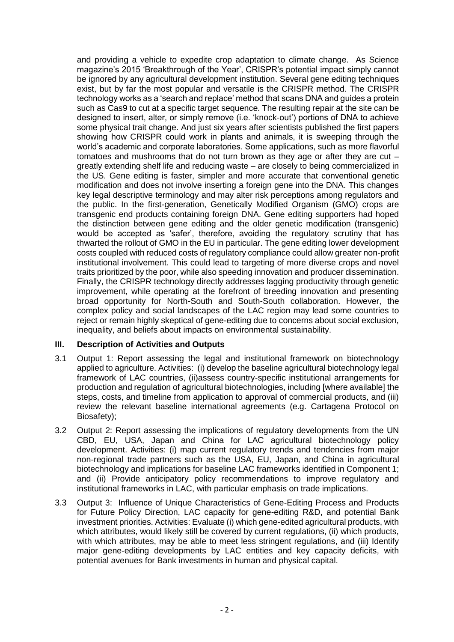and providing a vehicle to expedite crop adaptation to climate change. As Science magazine's 2015 'Breakthrough of the Year', CRISPR's potential impact simply cannot be ignored by any agricultural development institution. Several gene editing techniques exist, but by far the most popular and versatile is the CRISPR method. The CRISPR technology works as a 'search and replace' method that scans DNA and guides a protein such as Cas9 to cut at a specific target sequence. The resulting repair at the site can be designed to insert, alter, or simply remove (i.e. 'knock-out') portions of DNA to achieve some physical trait change. And just six years after scientists published the first papers showing how CRISPR could work in plants and animals, it is sweeping through the world's academic and corporate laboratories. Some applications, such as more flavorful tomatoes and mushrooms that do not turn brown as they age or after they are cut – greatly extending shelf life and reducing waste – are closely to being commercialized in the US. Gene editing is faster, simpler and more accurate that conventional genetic modification and does not involve inserting a foreign gene into the DNA. This changes key legal descriptive terminology and may alter risk perceptions among regulators and the public. In the first-generation, Genetically Modified Organism (GMO) crops are transgenic end products containing foreign DNA. Gene editing supporters had hoped the distinction between gene editing and the older genetic modification (transgenic) would be accepted as 'safer', therefore, avoiding the regulatory scrutiny that has thwarted the rollout of GMO in the EU in particular. The gene editing lower development costs coupled with reduced costs of regulatory compliance could allow greater non-profit institutional involvement. This could lead to targeting of more diverse crops and novel traits prioritized by the poor, while also speeding innovation and producer dissemination. Finally, the CRISPR technology directly addresses lagging productivity through genetic improvement, while operating at the forefront of breeding innovation and presenting broad opportunity for North-South and South-South collaboration. However, the complex policy and social landscapes of the LAC region may lead some countries to reject or remain highly skeptical of gene-editing due to concerns about social exclusion, inequality, and beliefs about impacts on environmental sustainability.

#### **III. Description of Activities and Outputs**

- 3.1 Output 1: Report assessing the legal and institutional framework on biotechnology applied to agriculture. Activities: (i) develop the baseline agricultural biotechnology legal framework of LAC countries, (ii)assess country-specific institutional arrangements for production and regulation of agricultural biotechnologies, including [where available] the steps, costs, and timeline from application to approval of commercial products, and (iii) review the relevant baseline international agreements (e.g. Cartagena Protocol on Biosafety);
- 3.2 Output 2: Report assessing the implications of regulatory developments from the UN CBD, EU, USA, Japan and China for LAC agricultural biotechnology policy development. Activities: (i) map current regulatory trends and tendencies from major non-regional trade partners such as the USA, EU, Japan, and China in agricultural biotechnology and implications for baseline LAC frameworks identified in Component 1; and (ii) Provide anticipatory policy recommendations to improve regulatory and institutional frameworks in LAC, with particular emphasis on trade implications.
- 3.3 Output 3: Influence of Unique Characteristics of Gene-Editing Process and Products for Future Policy Direction, LAC capacity for gene-editing R&D, and potential Bank investment priorities. Activities: Evaluate (i) which gene-edited agricultural products, with which attributes, would likely still be covered by current regulations, (ii) which products, with which attributes, may be able to meet less stringent regulations, and (iii) Identify major gene-editing developments by LAC entities and key capacity deficits, with potential avenues for Bank investments in human and physical capital.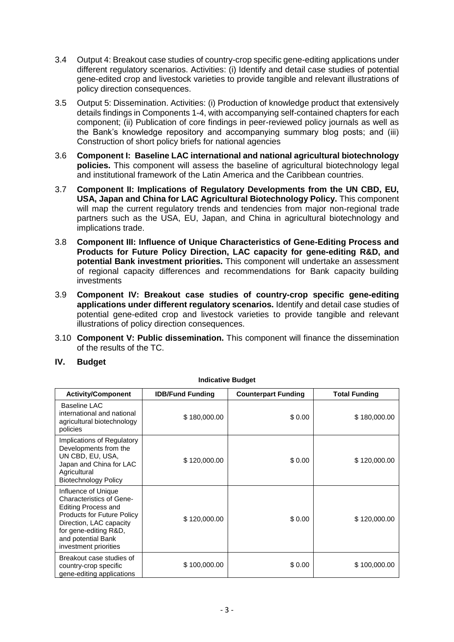- 3.4 Output 4: Breakout case studies of country-crop specific gene-editing applications under different regulatory scenarios. Activities: (i) Identify and detail case studies of potential gene-edited crop and livestock varieties to provide tangible and relevant illustrations of policy direction consequences.
- 3.5 Output 5: Dissemination. Activities: (i) Production of knowledge product that extensively details findings in Components 1-4, with accompanying self-contained chapters for each component; (ii) Publication of core findings in peer-reviewed policy journals as well as the Bank's knowledge repository and accompanying summary blog posts; and (iii) Construction of short policy briefs for national agencies
- 3.6 **Component I: Baseline LAC international and national agricultural biotechnology policies.** This component will assess the baseline of agricultural biotechnology legal and institutional framework of the Latin America and the Caribbean countries.
- 3.7 **Component II: Implications of Regulatory Developments from the UN CBD, EU, USA, Japan and China for LAC Agricultural Biotechnology Policy.** This component will map the current regulatory trends and tendencies from major non-regional trade partners such as the USA, EU, Japan, and China in agricultural biotechnology and implications trade.
- 3.8 **Component III: Influence of Unique Characteristics of Gene-Editing Process and Products for Future Policy Direction, LAC capacity for gene-editing R&D, and potential Bank investment priorities.** This component will undertake an assessment of regional capacity differences and recommendations for Bank capacity building investments
- 3.9 **Component IV: Breakout case studies of country-crop specific gene-editing applications under different regulatory scenarios.** Identify and detail case studies of potential gene-edited crop and livestock varieties to provide tangible and relevant illustrations of policy direction consequences.
- 3.10 **Component V: Public dissemination.** This component will finance the dissemination of the results of the TC.

| IV. | <b>Budget</b> |
|-----|---------------|
|-----|---------------|

| <b>Activity/Component</b>                                                                                                                                                                                                    | <b>IDB/Fund Funding</b> | <b>Counterpart Funding</b> | <b>Total Funding</b> |
|------------------------------------------------------------------------------------------------------------------------------------------------------------------------------------------------------------------------------|-------------------------|----------------------------|----------------------|
| Baseline LAC<br>international and national<br>agricultural biotechnology<br>policies                                                                                                                                         | \$180,000.00            | \$0.00                     | \$180,000.00         |
| Implications of Regulatory<br>Developments from the<br>UN CBD, EU, USA,<br>Japan and China for LAC<br>Agricultural<br><b>Biotechnology Policy</b>                                                                            | \$120,000.00            | \$0.00                     | \$120,000.00         |
| Influence of Unique<br><b>Characteristics of Gene-</b><br><b>Editing Process and</b><br><b>Products for Future Policy</b><br>Direction, LAC capacity<br>for gene-editing R&D,<br>and potential Bank<br>investment priorities | \$120,000.00            | \$0.00                     | \$120,000.00         |
| Breakout case studies of<br>country-crop specific<br>gene-editing applications                                                                                                                                               | \$100,000.00            | \$0.00                     | \$100,000.00         |

**Indicative Budget**